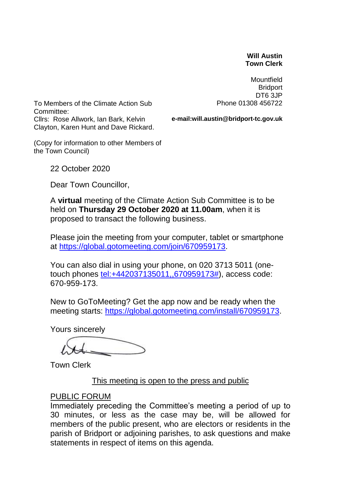#### **Will Austin Town Clerk**

**Mountfield Bridport** DT6 3JP Phone 01308 456722

To Members of the Climate Action Sub Committee: Cllrs: Rose Allwork, Ian Bark, Kelvin Clayton, Karen Hunt and Dave Rickard.

**e-mail:will.austin@bridport-tc.gov.uk**

(Copy for information to other Members of the Town Council)

22 October 2020

Dear Town Councillor,

A **virtual** meeting of the Climate Action Sub Committee is to be held on **Thursday 29 October 2020 at 11.00am**, when it is proposed to transact the following business.

Please join the meeting from your computer, tablet or smartphone at [https://global.gotomeeting.com/join/670959173.](https://global.gotomeeting.com/join/670959173)

You can also dial in using your phone, on 020 3713 5011 (onetouch phones [tel:+442037135011,,670959173#\)](tel:+442037135011,,670959173), access code: 670-959-173.

New to GoToMeeting? Get the app now and be ready when the meeting starts: [https://global.gotomeeting.com/install/670959173.](https://global.gotomeeting.com/install/670959173)

Yours sincerely

Town Clerk

This meeting is open to the press and public

#### PUBLIC FORUM

Immediately preceding the Committee's meeting a period of up to 30 minutes, or less as the case may be, will be allowed for members of the public present, who are electors or residents in the parish of Bridport or adjoining parishes, to ask questions and make statements in respect of items on this agenda.